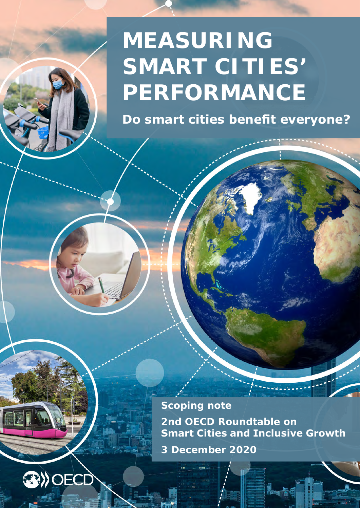## **MEASURING SMART CITIES' PERFORMANCE**

**Do smart cities benefit everyone?**

**Scoping note 2nd OECD Roundtable on Smart Cities and Inclusive Growth 3 December 2020**

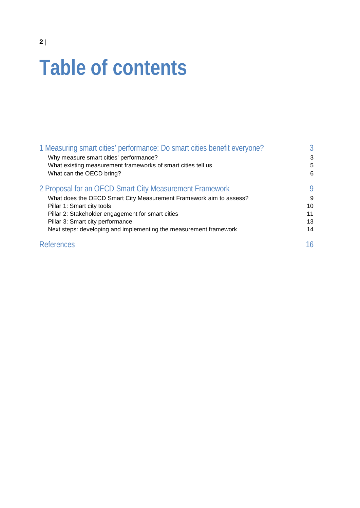# **Table of contents**

| 1 Measuring smart cities' performance: Do smart cities benefit everyone? | $\mathcal{S}$ |
|--------------------------------------------------------------------------|---------------|
| Why measure smart cities' performance?                                   | 3             |
| What existing measurement frameworks of smart cities tell us             | 5             |
| What can the OECD bring?                                                 | 6             |
| 2 Proposal for an OECD Smart City Measurement Framework                  | 9             |
| What does the OECD Smart City Measurement Framework aim to assess?       | 9             |
| Pillar 1: Smart city tools                                               | 10            |
| Pillar 2: Stakeholder engagement for smart cities                        | 11            |
| Pillar 3: Smart city performance                                         | 13            |
| Next steps: developing and implementing the measurement framework        | 14            |
| <b>References</b>                                                        | 16            |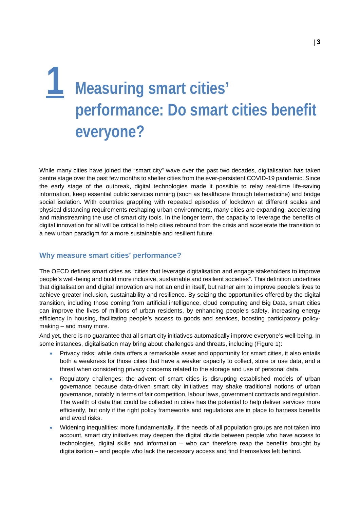## <span id="page-2-0"></span>**1 Measuring smart cities' performance: Do smart cities benefit everyone?**

While many cities have joined the "smart city" wave over the past two decades, digitalisation has taken centre stage over the past few months to shelter cities from the ever-persistent COVID-19 pandemic. Since the early stage of the outbreak, digital technologies made it possible to relay real-time life-saving information, keep essential public services running (such as healthcare through telemedicine) and bridge social isolation. With countries grappling with repeated episodes of lockdown at different scales and physical distancing requirements reshaping urban environments, many cities are expanding, accelerating and mainstreaming the use of smart city tools. In the longer term, the capacity to leverage the benefits of digital innovation for all will be critical to help cities rebound from the crisis and accelerate the transition to a new urban paradigm for a more sustainable and resilient future.

#### <span id="page-2-1"></span>**Why measure smart cities' performance?**

The OECD defines smart cities as "cities that leverage digitalisation and engage stakeholders to improve people's well-being and build more inclusive, sustainable and resilient societies". This definition underlines that digitalisation and digital innovation are not an end in itself, but rather aim to improve people's lives to achieve greater inclusion, sustainability and resilience. By seizing the opportunities offered by the digital transition, including those coming from artificial intelligence, cloud computing and Big Data, smart cities can improve the lives of millions of urban residents, by enhancing people's safety, increasing energy efficiency in housing, facilitating people's access to goods and services, boosting participatory policymaking – and many more.

And yet, there is no guarantee that all smart city initiatives automatically improve everyone's well-being. In some instances, digitalisation may bring about challenges and threats, including (Figure 1):

- Privacy risks: while data offers a remarkable asset and opportunity for smart cities, it also entails both a weakness for those cities that have a weaker capacity to collect, store or use data, and a threat when considering privacy concerns related to the storage and use of personal data.
- Regulatory challenges: the advent of smart cities is disrupting established models of urban governance because data-driven smart city initiatives may shake traditional notions of urban governance, notably in terms of fair competition, labour laws, government contracts and regulation. The wealth of data that could be collected in cities has the potential to help deliver services more efficiently, but only if the right policy frameworks and regulations are in place to harness benefits and avoid risks.
- Widening inequalities: more fundamentally, if the needs of all population groups are not taken into account, smart city initiatives may deepen the digital divide between people who have access to technologies, digital skills and information – who can therefore reap the benefits brought by digitalisation – and people who lack the necessary access and find themselves left behind.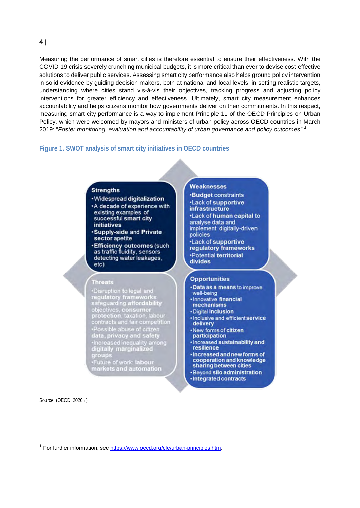**4** |

Measuring the performance of smart cities is therefore essential to ensure their effectiveness. With the COVID-19 crisis severely crunching municipal budgets, it is more critical than ever to devise cost-effective solutions to deliver public services. Assessing smart city performance also helps ground policy intervention in solid evidence by guiding decision makers, both at national and local levels, in setting realistic targets, understanding where cities stand vis-à-vis their objectives, tracking progress and adjusting policy interventions for greater efficiency and effectiveness. Ultimately, smart city measurement enhances accountability and helps citizens monitor how governments deliver on their commitments. In this respect, measuring smart city performance is a way to implement Principle 11 of the OECD Principles on Urban Policy, which were welcomed by mayors and ministers of urban policy across OECD countries in March 2019: "*Foster monitoring, evaluation and accountability of urban governance and policy outcomes".[1](#page-3-0)*

## **Figure 1. SWOT analysis of smart city initiatives in OECD countries**

#### **Strenaths**

- · Widespread digitalization
- A decade of experience with existing examples of successful smart city **initiatives**
- **Supply-side and Private** sector apetite
- **Efficiency outcomes (such** as traffic fluidity, sensors detecting water leakages, etc)

#### **Threats**

Timeas<br>
"Disruption to legal and<br>
regulatory frameworks<br>
safeguarding affordability<br>
objectives, consumer<br>
protection, taxation, labour<br>
contracts and fair competition<br>
"Possible abuse of citizen<br>
data, privacy and safety<br> Hussible abuse of chizen<br>data, privacy and safety<br>Hincreased inequality among<br>digitally marginalized<br>groups

ے۔<br>•Future of work: labour<br>markets and automation

#### Weaknesses

**Budget constraints -Lack of supportive infrastructure** \*Lack of human capital to analyse data and implement digitally-driven policies

.Lack of supportive regulatory frameworks •Potential territorial divides

#### **Opportunities**

- **-Data as a means to improve** well-being
- · Innovative financial mechanisms
- · Digital inclusion
- · Inclusive and efficient service delivery
- New forms of citizen participation
- · Increased sustainability and resilience
- Increased and new forms of cooperation and knowledge sharing between cities
- Beyond silo administration
- Integrated contracts

Source: (OECD, 2020[1])

 $\overline{a}$ 

<span id="page-3-0"></span><sup>&</sup>lt;sup>1</sup> For further information, se[e https://www.oecd.org/cfe/urban-principles.htm.](https://www.oecd.org/cfe/urban-principles.htm)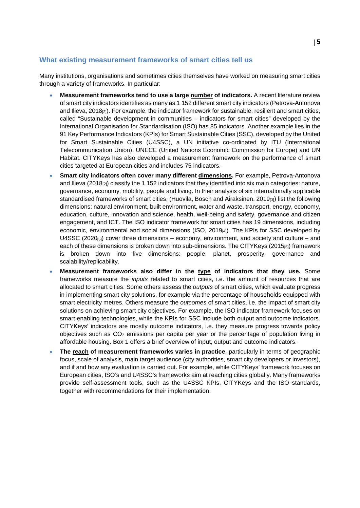### <span id="page-4-0"></span>**What existing measurement frameworks of smart cities tell us**

Many institutions, organisations and sometimes cities themselves have worked on measuring smart cities through a variety of frameworks. In particular:

- **Measurement frameworks tend to use a large number of indicators.** A recent literature review of smart city indicators identifies as many as 1 152 different smart city indicators (Petrova-Antonova and Ilieva, 2018<sub>[2]</sub>). For example, the indicator framework for sustainable, resilient and smart cities, called "Sustainable development in communities – indicators for smart cities" developed by the International Organisation for Standardisation (ISO) has 85 indicators. Another example lies in the 91 Key Performance Indicators (KPIs) for Smart Sustainable Cities (SSC), developed by the United for Smart Sustainable Cities (U4SSC), a UN initiative co-ordinated by ITU (International Telecommunication Union), UNECE (United Nations Economic Commission for Europe) and UN Habitat. CITYKeys has also developed a measurement framework on the performance of smart cities targeted at European cities and includes 75 indicators.
- **Smart city indicators often cover many different dimensions.** For example, Petrova-Antonova and Ilieva (2018<sub>[2]</sub>) classify the 1 152 indicators that they identified into six main categories: nature, governance, economy, mobility, people and living. In their analysis of six internationally applicable standardised frameworks of smart cities, (Huovila, Bosch and Airaksinen, 2019[3]) list the following dimensions: natural environment, built environment, water and waste, transport, energy, economy, education, culture, innovation and science, health, well-being and safety, governance and citizen engagement, and ICT. The ISO indicator framework for smart cities has 19 dimensions, including economic, environmental and social dimensions (ISO, 2019<sub>[4]</sub>). The KPIs for SSC developed by U4SSC (2020 $_{[5]}$ ) cover three dimensions – economy, environment, and society and culture – and each of these dimensions is broken down into sub-dimensions. The CITYKeys (2015<sub>[6]</sub>) framework is broken down into five dimensions: people, planet, prosperity, governance and scalability/replicability.
- **Measurement frameworks also differ in the type of indicators that they use.** Some frameworks measure the *inputs* related to smart cities, i.e. the amount of resources that are allocated to smart cities. Some others assess the *outputs* of smart cities, which evaluate progress in implementing smart city solutions, for example via the percentage of households equipped with smart electricity metres. Others measure the *outcomes* of smart cities, i.e. the impact of smart city solutions on achieving smart city objectives. For example, the ISO indicator framework focuses on smart enabling technologies, while the KPIs for SSC include both output and outcome indicators. CITYKeys' indicators are mostly outcome indicators, i.e. they measure progress towards policy objectives such as  $CO<sub>2</sub>$  emissions per capita per year or the percentage of population living in affordable housing. Box 1 offers a brief overview of input, output and outcome indicators.
- **The reach of measurement frameworks varies in practice**, particularly in terms of geographic focus, scale of analysis, main target audience (city authorities, smart city developers or investors), and if and how any evaluation is carried out. For example, while CITYKeys' framework focuses on European cities, ISO's and U4SSC's frameworks aim at reaching cities globally. Many frameworks provide self-assessment tools, such as the U4SSC KPIs, CITYKeys and the ISO standards, together with recommendations for their implementation.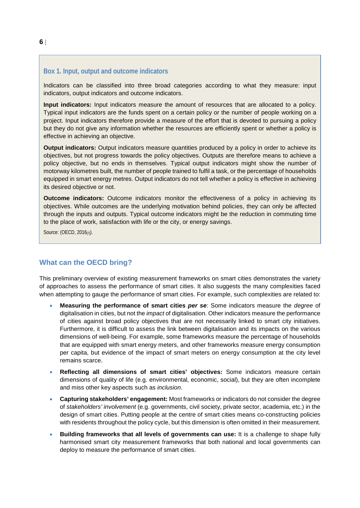#### **Box 1. Input, output and outcome indicators**

Indicators can be classified into three broad categories according to what they measure: input indicators, output indicators and outcome indicators.

**Input indicators:** Input indicators measure the amount of resources that are allocated to a policy. Typical input indicators are the funds spent on a certain policy or the number of people working on a project. Input indicators therefore provide a measure of the effort that is devoted to pursuing a policy but they do not give any information whether the resources are efficiently spent or whether a policy is effective in achieving an objective.

**Output indicators:** Output indicators measure quantities produced by a policy in order to achieve its objectives, but not progress towards the policy objectives. Outputs are therefore means to achieve a policy objective, but no ends in themselves. Typical output indicators might show the number of motorway kilometres built, the number of people trained to fulfil a task, or the percentage of households equipped in smart energy metres. Output indicators do not tell whether a policy is effective in achieving its desired objective or not.

**Outcome indicators:** Outcome indicators monitor the effectiveness of a policy in achieving its objectives. While outcomes are the underlying motivation behind policies, they can only be affected through the inputs and outputs. Typical outcome indicators might be the reduction in commuting time to the place of work, satisfaction with life or the city, or energy savings.

<span id="page-5-0"></span>Source: (OECD, 2016[7]).

#### **What can the OECD bring?**

This preliminary overview of existing measurement frameworks on smart cities demonstrates the variety of approaches to assess the performance of smart cities. It also suggests the many complexities faced when attempting to gauge the performance of smart cities. For example, such complexities are related to:

- **Measuring the performance of smart cities** *per se*: Some indicators measure the *degree* of digitalisation in cities, but not the *impact* of digitalisation. Other indicators measure the performance of cities against broad policy objectives that are not necessarily linked to smart city initiatives. Furthermore, it is difficult to assess the link between digitalisation and its impacts on the various dimensions of well-being. For example, some frameworks measure the percentage of households that are equipped with smart energy meters, and other frameworks measure energy consumption per capita, but evidence of the impact of smart meters on energy consumption at the city level remains scarce.
- **Reflecting all dimensions of smart cities' objectives:** Some indicators measure certain dimensions of quality of life (e.g. environmental, economic, social), but they are often incomplete and miss other key aspects such as *inclusion*.
- **Capturing stakeholders' engagement:** Most frameworks or indicators do not consider the degree of *stakeholders' involvement* (e.g. governments, civil society, private sector, academia, etc.) in the design of smart cities. Putting people at the centre of smart cities means co-constructing policies with residents throughout the policy cycle, but this dimension is often omitted in their measurement.
- **Building frameworks that all levels of governments can use:** It is a challenge to shape fully harmonised smart city measurement frameworks that both national and local governments can deploy to measure the performance of smart cities.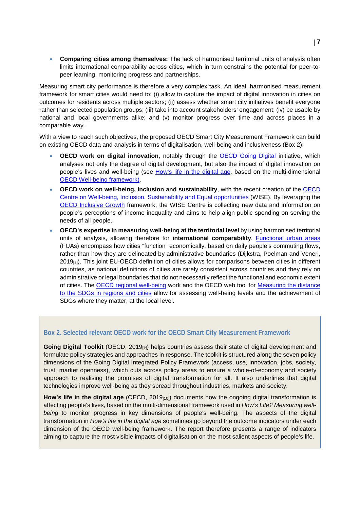• **Comparing cities among themselves:** The lack of harmonised territorial units of analysis often limits international comparability across cities, which in turn constrains the potential for peer-topeer learning, monitoring progress and partnerships.

Measuring smart city performance is therefore a very complex task. An ideal, harmonised measurement framework for smart cities would need to: (i) allow to capture the impact of digital innovation in cities on outcomes for residents across multiple sectors; (ii) assess whether smart city initiatives benefit everyone rather than selected population groups; (iii) take into account stakeholders' engagement; (iv) be usable by national and local governments alike; and (v) monitor progress over time and across places in a comparable way.

With a view to reach such objectives, the proposed OECD Smart City Measurement Framework can build on existing OECD data and analysis in terms of digitalisation, well-being and inclusiveness (Box 2):

- **OECD work on digital innovation**, notably through the [OECD Going Digital](http://www.oecd.org/going-digital/) initiative, which analyses not only the degree of digital development, but also the impact of digital innovation on people's lives and well-being (see [How's life in the digital age,](https://www.oecd.org/publications/how-s-life-in-the-digital-age-9789264311800-en.htm) based on the multi-dimensional [OECD Well-being framework\)](https://www.oecd.org/statistics/measuring-well-being-and-progress.htm).
- **OECD work on well-being, inclusion and sustainability**, with the recent creation of the [OECD](https://www.oecd.org/wise/Peoples-well-being-at-the-top-of-the-agenda-WISE-mission.pdf)  [Centre on Well-being, Inclusion, Sustainability and Equal opportunities](https://www.oecd.org/wise/Peoples-well-being-at-the-top-of-the-agenda-WISE-mission.pdf) (WISE). By leveraging the [OECD Inclusive Growth](https://www.oecd.org/inclusive-growth/) framework, the WISE Centre is collecting new data and information on people's perceptions of income inequality and aims to help align public spending on serving the needs of all people.
- **OECD's expertise in measuring well-being at the territorial level** by using harmonised territorial units of analysis, allowing therefore for **international comparability**. [Functional urban areas](https://www.oecd-ilibrary.org/urban-rural-and-regional-development/the-eu-oecd-definition-of-a-functional-urban-area_d58cb34d-en) (FUAs) encompass how cities "function" economically, based on daily people's commuting flows, rather than how they are delineated by administrative boundaries (Dijkstra, Poelman and Veneri, 2019[8]). This joint EU-OECD definition of cities allows for comparisons between cities in different countries, as national definitions of cities are rarely consistent across countries and they rely on administrative or legal boundaries that do not necessarily reflect the functional and economic extent of cities. The [OECD regional well-being](https://www.oecd.org/fr/regional/how-is-life-in-your-region.htm) work and the OECD web tool for [Measuring the distance](https://www.oecd-local-sdgs.org/)  [to the SDGs in regions and cities](https://www.oecd-local-sdgs.org/) allow for assessing well-being levels and the achievement of SDGs where they matter, at the local level.

#### **Box 2. Selected relevant OECD work for the OECD Smart City Measurement Framework**

Going Digital Toolkit (OECD, 2019<sub>[9]</sub>) helps countries assess their state of digital development and formulate policy strategies and approaches in response. The toolkit is structured along the seven policy dimensions of the Going Digital Integrated Policy Framework (access, use, innovation, jobs, society, trust, market openness), which cuts across policy areas to ensure a whole-of-economy and society approach to realising the promises of digital transformation for all. It also underlines that digital technologies improve well-being as they spread throughout industries, markets and society.

**How's life in the digital age** (OECD, 2019<sub>[10]</sub>) documents how the ongoing digital transformation is affecting people's lives, based on the multi-dimensional framework used in *How's Life? Measuring wellbeing* to monitor progress in key dimensions of people's well-being. The aspects of the digital transformation in *How's life in the digital age* sometimes go beyond the outcome indicators under each dimension of the OECD well-being framework. The report therefore presents a range of indicators aiming to capture the most visible impacts of digitalisation on the most salient aspects of people's life.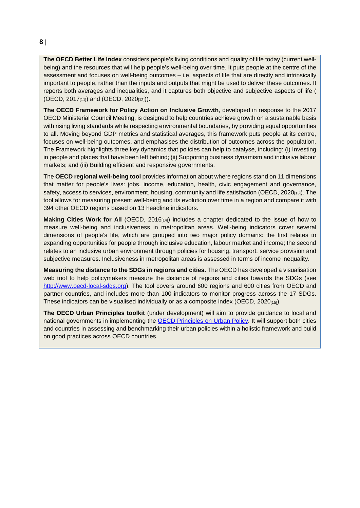**The OECD Better Life Index** considers people's living conditions and quality of life today (current wellbeing) and the resources that will help people's well-being over time. It puts people at the centre of the assessment and focuses on well-being outcomes – i.e. aspects of life that are directly and intrinsically important to people, rather than the inputs and outputs that might be used to deliver these outcomes. It reports both averages and inequalities, and it captures both objective and subjective aspects of life ( (OECD, 2017 $_{[11]}$ ) and (OECD, 2020 $_{[12]}$ )).

**The OECD Framework for Policy Action on Inclusive Growth**, developed in response to the 2017 OECD Ministerial Council Meeting, is designed to help countries achieve growth on a sustainable basis with rising living standards while respecting environmental boundaries, by providing equal opportunities to all. Moving beyond GDP metrics and statistical averages, this framework puts people at its centre, focuses on well-being outcomes, and emphasises the distribution of outcomes across the population. The Framework highlights three key dynamics that policies can help to catalyse, including: (i) Investing in people and places that have been left behind; (ii) Supporting business dynamism and inclusive labour markets; and (iii) Building efficient and responsive governments.

The **OECD regional well-being tool** provides information about where regions stand on 11 dimensions that matter for people's lives: jobs, income, education, health, civic engagement and governance, safety, access to services, environment, housing, community and life satisfaction (OECD, 2020<sub>[13]</sub>). The tool allows for measuring present well-being and its evolution over time in a region and compare it with 394 other OECD regions based on 13 headline indicators.

**Making Cities Work for All** (OECD, 2016[14]) includes a chapter dedicated to the issue of how to measure well-being and inclusiveness in metropolitan areas. Well-being indicators cover several dimensions of people's life, which are grouped into two major policy domains: the first relates to expanding opportunities for people through inclusive education, labour market and income; the second relates to an inclusive urban environment through policies for housing, transport, service provision and subjective measures. Inclusiveness in metropolitan areas is assessed in terms of income inequality.

**Measuring the distance to the SDGs in regions and cities.** The OECD has developed a visualisation web tool to help policymakers measure the distance of regions and cities towards the SDGs (see [http://www.oecd-local-sdgs.org\)](http://www.oecd-local-sdgs.org/). The tool covers around 600 regions and 600 cities from OECD and partner countries, and includes more than 100 indicators to monitor progress across the 17 SDGs. These indicators can be visualised individually or as a composite index (OECD,  $2020_{[15]}$ ).

**The OECD Urban Principles toolkit** (under development) will aim to provide guidance to local and national governments in implementing the [OECD Principles on Urban Policy.](https://www.oecd.org/cfe/urban-principles.htm) It will support both cities and countries in assessing and benchmarking their urban policies within a holistic framework and build on good practices across OECD countries.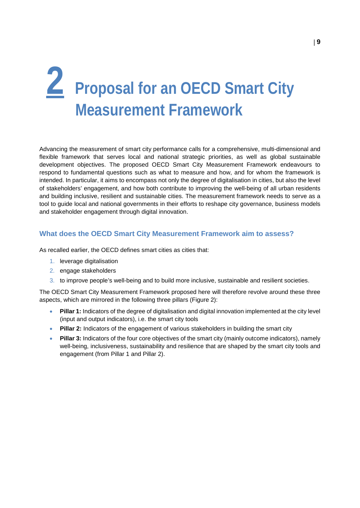# <span id="page-8-0"></span>**2 Proposal for an OECD Smart City Measurement Framework**

Advancing the measurement of smart city performance calls for a comprehensive, multi-dimensional and flexible framework that serves local and national strategic priorities, as well as global sustainable development objectives. The proposed OECD Smart City Measurement Framework endeavours to respond to fundamental questions such as what to measure and how, and for whom the framework is intended. In particular, it aims to encompass not only the degree of digitalisation in cities, but also the level of stakeholders' engagement, and how both contribute to improving the well-being of all urban residents and building inclusive, resilient and sustainable cities. The measurement framework needs to serve as a tool to guide local and national governments in their efforts to reshape city governance, business models and stakeholder engagement through digital innovation.

#### <span id="page-8-1"></span>**What does the OECD Smart City Measurement Framework aim to assess?**

As recalled earlier, the OECD defines smart cities as cities that:

- 1. leverage digitalisation
- 2. engage stakeholders
- 3. to improve people's well-being and to build more inclusive, sustainable and resilient societies.

The OECD Smart City Measurement Framework proposed here will therefore revolve around these three aspects, which are mirrored in the following three pillars (Figure 2):

- **Pillar 1:** Indicators of the degree of digitalisation and digital innovation implemented at the city level (input and output indicators), i.e. the smart city tools
- **Pillar 2:** Indicators of the engagement of various stakeholders in building the smart city
- **Pillar 3:** Indicators of the four core objectives of the smart city (mainly outcome indicators), namely well-being, inclusiveness, sustainability and resilience that are shaped by the smart city tools and engagement (from Pillar 1 and Pillar 2).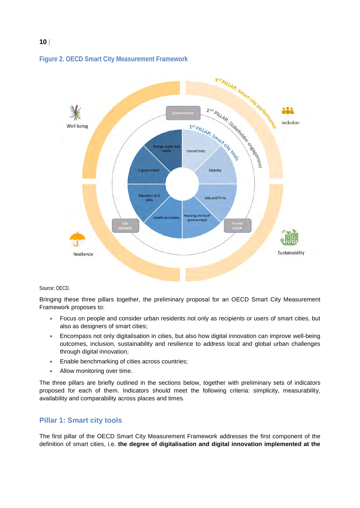

### **Figure 2. OECD Smart City Measurement Framework**

#### Source: OECD.

Bringing these three pillars together, the preliminary proposal for an OECD Smart City Measurement Framework proposes to:

- Focus on people and consider urban residents not only as recipients or users of smart cities, but also as designers of smart cities;
- Encompass not only digitalisation in cities, but also how digital innovation can improve well-being outcomes, inclusion, sustainability and resilience to address local and global urban challenges through digital innovation;
- Enable benchmarking of cities across countries;
- Allow monitoring over time.

The three pillars are briefly outlined in the sections below, together with preliminary sets of indicators proposed for each of them. Indicators should meet the following criteria: simplicity, measurability, availability and comparability across places and times.

#### <span id="page-9-0"></span>**Pillar 1: Smart city tools**

The first pillar of the OECD Smart City Measurement Framework addresses the first component of the definition of smart cities, i.e. **the degree of digitalisation and digital innovation implemented at the**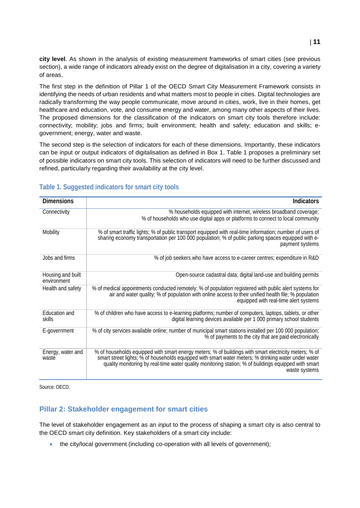**city level**. As shown in the analysis of existing measurement frameworks of smart cities (see previous section), a wide range of indicators already exist on the degree of digitalisation in a city, covering a variety of areas.

The first step in the definition of Pillar 1 of the OECD Smart City Measurement Framework consists in identifying the needs of urban residents and what matters most to people in cities. Digital technologies are radically transforming the way people communicate, move around in cities, work, live in their homes, get healthcare and education, vote, and consume energy and water, among many other aspects of their lives. The proposed dimensions for the classification of the indicators on smart city tools therefore include: connectivity; mobility; jobs and firms; built environment; health and safety; education and skills; egovernment; energy, water and waste.

The second step is the selection of indicators for each of these dimensions. Importantly, these indicators can be input or output indicators of digitalisation as defined in Box 1. [Table 1](#page-10-1) proposes a preliminary set of possible indicators on smart city tools. This selection of indicators will need to be further discussed and refined, particularly regarding their availability at the city level.

| <b>Dimensions</b>                | <b>Indicators</b>                                                                                                                                                                                                                                                                                                                     |
|----------------------------------|---------------------------------------------------------------------------------------------------------------------------------------------------------------------------------------------------------------------------------------------------------------------------------------------------------------------------------------|
| Connectivity                     | % households equipped with internet, wireless broadband coverage;<br>% of households who use digital apps or platforms to connect to local community                                                                                                                                                                                  |
| Mobility                         | % of smart traffic lights; % of public transport equipped with real-time information; number of users of<br>sharing economy transportation per 100 000 population; % of public parking spaces equipped with e-<br>payment systems                                                                                                     |
| Jobs and firms                   | % of job seekers who have access to e-career centres; expenditure in R&D                                                                                                                                                                                                                                                              |
| Housing and built<br>environment | Open-source cadastral data; digital land-use and building permits                                                                                                                                                                                                                                                                     |
| Health and safety                | % of medical appointments conducted remotely; % of population registered with public alert systems for<br>air and water quality; % of population with online access to their unified health file; % population<br>equipped with real-time alert systems                                                                               |
| Education and<br>skills          | % of children who have access to e-learning platforms; number of computers, laptops, tablets, or other<br>digital learning devices available per 1 000 primary school students                                                                                                                                                        |
| E-government                     | % of city services available online; number of municipal smart stations installed per 100 000 population;<br>% of payments to the city that are paid electronically                                                                                                                                                                   |
| Energy, water and<br>waste       | % of households equipped with smart energy meters; % of buildings with smart electricity meters; % of<br>smart street lights; % of households equipped with smart water meters; % drinking water under water<br>quality monitoring by real-time water quality monitoring station; % of buildings equipped with smart<br>waste systems |

### <span id="page-10-1"></span>**Table 1. Suggested indicators for smart city tools**

Source: OECD.

#### <span id="page-10-0"></span>**Pillar 2: Stakeholder engagement for smart cities**

The level of stakeholder engagement as an *input* to the process of shaping a smart city is also central to the OECD smart city definition. Key stakeholders of a smart city include:

• the city/local government (including co-operation with all levels of government);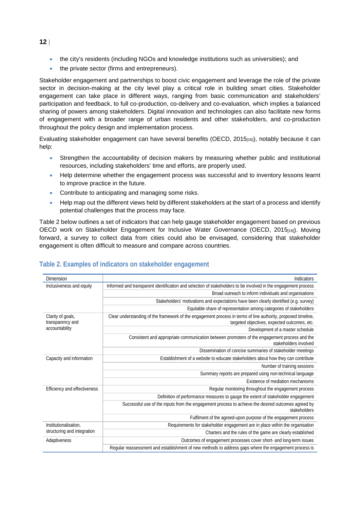- the city's residents (including NGOs and knowledge institutions such as universities); and
- the private sector (firms and entrepreneurs).

Stakeholder engagement and partnerships to boost civic engagement and leverage the role of the private sector in decision-making at the city level play a critical role in building smart cities. Stakeholder engagement can take place in different ways, ranging from basic communication and stakeholders' participation and feedback, to full co-production, co-delivery and co-evaluation, which implies a balanced sharing of powers among stakeholders. Digital innovation and technologies can also facilitate new forms of engagement with a broader range of urban residents and other stakeholders, and co-production throughout the policy design and implementation process.

Evaluating stakeholder engagement can have several benefits (OECD, 2015<sub>[16]</sub>), notably because it can help:

- Strengthen the accountability of decision makers by measuring whether public and institutional resources, including stakeholders' time and efforts, are properly used.
- Help determine whether the engagement process was successful and to inventory lessons learnt to improve practice in the future.
- Contribute to anticipating and managing some risks.
- Help map out the different views held by different stakeholders at the start of a process and identify potential challenges that the process may face.

[Table 2](#page-11-0) below outlines a set of indicators that can help gauge stakeholder engagement based on previous OECD work on Stakeholder Engagement for Inclusive Water Governance (OECD, 2015[16]). Moving forward, a survey to collect data from cities could also be envisaged, considering that stakeholder engagement is often difficult to measure and compare across countries.

| Dimension                             | Indicators                                                                                                                                                    |
|---------------------------------------|---------------------------------------------------------------------------------------------------------------------------------------------------------------|
| Inclusiveness and equity              | Informed and transparent identification and selection of stakeholders to be involved in the engagement process                                                |
|                                       | Broad outreach to inform individuals and organisations                                                                                                        |
|                                       | Stakeholders' motivations and expectations have been clearly identified (e.g. survey)                                                                         |
|                                       | Equitable share of representation among categories of stakeholders                                                                                            |
| Clarity of goals,<br>transparency and | Clear understanding of the framework of the engagement process in terms of line authority, proposed timeline,<br>targeted objectives, expected outcomes, etc. |
| accountability                        | Development of a master schedule                                                                                                                              |
|                                       | Consistent and appropriate communication between promoters of the engagement process and the<br>stakeholders involved                                         |
|                                       | Dissemination of concise summaries of stakeholder meetings                                                                                                    |
| Capacity and information              | Establishment of a website to educate stakeholders about how they can contribute                                                                              |
|                                       | Number of training sessions                                                                                                                                   |
|                                       | Summary reports are prepared using non-technical language                                                                                                     |
|                                       | Existence of mediation mechanisms                                                                                                                             |
| Efficiency and effectiveness          | Regular monitoring throughout the engagement process                                                                                                          |
|                                       | Definition of performance measures to gauge the extent of stakeholder engagement                                                                              |
|                                       | Successful use of the inputs from the engagement process to achieve the desired outcomes agreed by<br>stakeholders                                            |
|                                       | Fulfilment of the agreed-upon purpose of the engagement process                                                                                               |
| Institutionalisation.                 | Requirements for stakeholder engagement are in place within the organisation                                                                                  |
| structuring and integration           | Charters and the rules of the game are clearly established                                                                                                    |
| Adaptiveness                          | Outcomes of engagement processes cover short- and long-term issues                                                                                            |
|                                       | Regular reassessment and establishment of new methods to address gaps where the engagement process is                                                         |
|                                       |                                                                                                                                                               |

## <span id="page-11-0"></span>**Table 2. Examples of indicators on stakeholder engagement**

#### **12** |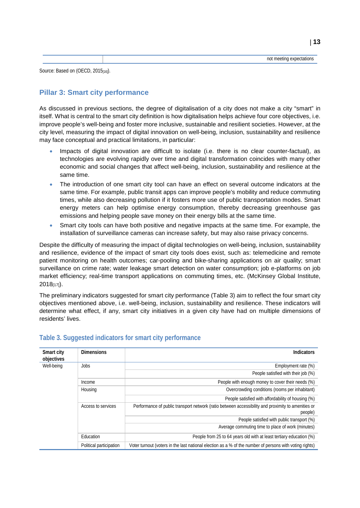Source: Based on (OECD, 2015<sub>[16]</sub>).

## <span id="page-12-0"></span>**Pillar 3: Smart city performance**

As discussed in previous sections, the degree of digitalisation of a city does not make a city "smart" in itself. What is central to the smart city definition is how digitalisation helps achieve four core objectives, i.e. improve people's well-being and foster more inclusive, sustainable and resilient societies. However, at the city level, measuring the impact of digital innovation on well-being, inclusion, sustainability and resilience may face conceptual and practical limitations, in particular:

- Impacts of digital innovation are difficult to isolate (i.e. there is no clear counter-factual), as technologies are evolving rapidly over time and digital transformation coincides with many other economic and social changes that affect well-being, inclusion, sustainability and resilience at the same time.
- The introduction of one smart city tool can have an effect on several outcome indicators at the same time. For example, public transit apps can improve people's mobility and reduce commuting times, while also decreasing pollution if it fosters more use of public transportation modes. Smart energy meters can help optimise energy consumption, thereby decreasing greenhouse gas emissions and helping people save money on their energy bills at the same time.
- Smart city tools can have both positive and negative impacts at the same time. For example, the installation of surveillance cameras can increase safety, but may also raise privacy concerns.

Despite the difficulty of measuring the impact of digital technologies on well-being, inclusion, sustainability and resilience, evidence of the impact of smart city tools does exist, such as: telemedicine and remote patient monitoring on health outcomes; car-pooling and bike-sharing applications on air quality; smart surveillance on crime rate; water leakage smart detection on water consumption; job e-platforms on job market efficiency; real-time transport applications on commuting times, etc. (McKinsey Global Institute,  $2018_{[17]}$ .

The preliminary indicators suggested for smart city performance [\(Table 3\)](#page-12-1) aim to reflect the four smart city objectives mentioned above, i.e. well-being, inclusion, sustainability and resilience. These indicators will determine what effect, if any, smart city initiatives in a given city have had on multiple dimensions of residents' lives.

| Smart city<br>objectives | <b>Dimensions</b>       | <b>Indicators</b>                                                                                             |
|--------------------------|-------------------------|---------------------------------------------------------------------------------------------------------------|
| Well-being               | Jobs                    | Employment rate (%)                                                                                           |
|                          |                         | People satisfied with their job (%)                                                                           |
|                          | Income                  | People with enough money to cover their needs (%)                                                             |
|                          | Housing                 | Overcrowding conditions (rooms per inhabitant)                                                                |
|                          |                         | People satisfied with affordability of housing (%)                                                            |
|                          | Access to services      | Performance of public transport network (ratio between accessibility and proximity to amenities or<br>people) |
|                          |                         | People satisfied with public transport (%)                                                                    |
|                          |                         | Average commuting time to place of work (minutes)                                                             |
|                          | Education               | People from 25 to 64 years old with at least tertiary education (%)                                           |
|                          | Political participation | Voter turnout (voters in the last national election as a % of the number of persons with voting rights)       |

## <span id="page-12-1"></span>**Table 3. Suggested indicators for smart city performance**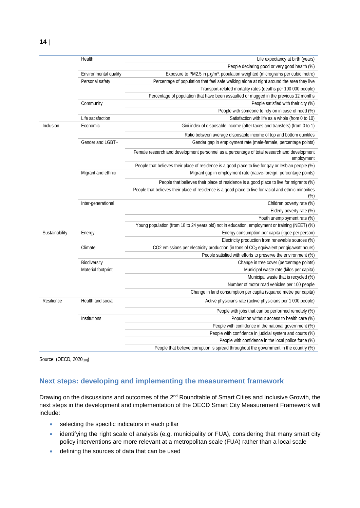|                | Health                | Life expectancy at birth (years)                                                                              |
|----------------|-----------------------|---------------------------------------------------------------------------------------------------------------|
|                |                       | People declaring good or very good health (%)                                                                 |
|                | Environmental quality | Exposure to PM2.5 in µg/m <sup>3</sup> , population weighted (micrograms per cubic metre)                     |
|                | Personal safety       | Percentage of population that feel safe walking alone at night around the area they live                      |
|                |                       | Transport-related mortality rates (deaths per 100 000 people)                                                 |
|                |                       | Percentage of population that have been assaulted or mugged in the previous 12 months                         |
|                | Community             | People satisfied with their city (%)                                                                          |
|                |                       | People with someone to rely on in case of need (%)                                                            |
|                | Life satisfaction     | Satisfaction with life as a whole (from 0 to 10)                                                              |
| Inclusion      | Economic              | Gini index of disposable income (after taxes and transfers) (from 0 to 1)                                     |
|                |                       | Ratio between average disposable income of top and bottom quintiles                                           |
|                | Gender and LGBT+      | Gender gap in employment rate (male-female, percentage points)                                                |
|                |                       | Female research and development personnel as a percentage of total research and development<br>employment     |
|                |                       | People that believes their place of residence is a good place to live for gay or lesbian people (%)           |
|                | Migrant and ethnic    | Migrant gap in employment rate (native-foreign, percentage points)                                            |
|                |                       | People that believes their place of residence is a good place to live for migrants (%)                        |
|                |                       | People that believes their place of residence is a good place to live for racial and ethnic minorities<br>(%) |
|                | Inter-generational    | Children poverty rate (%)                                                                                     |
|                |                       | Elderly poverty rate (%)                                                                                      |
|                |                       | Youth unemployment rate (%)                                                                                   |
|                |                       | Young population (from 18 to 24 years old) not in education, employment or training (NEET) (%)                |
| Sustainability | Energy                | Energy consumption per capita (kgoe per person)                                                               |
|                |                       | Electricity production from renewable sources (%)                                                             |
|                | Climate               | CO2 emissions per electricity production (in tons of CO <sub>2</sub> equivalent per gigawatt hours)           |
|                |                       | People satisfied with efforts to preserve the environment (%)                                                 |
|                | Biodiversity          | Change in tree cover (percentage points)                                                                      |
|                | Material footprint    | Municipal waste rate (kilos per capita)                                                                       |
|                |                       | Municipal waste that is recycled (%)                                                                          |
|                |                       | Number of motor road vehicles per 100 people                                                                  |
|                |                       | Change in land consumption per capita (squared metre per capita)                                              |
| Resilience     | Health and social     | Active physicians rate (active physicians per 1 000 people)                                                   |
|                |                       | People with jobs that can be performed remotely (%)                                                           |
|                | Institutions          | Population without access to health care (%)                                                                  |
|                |                       | People with confidence in the national government (%)                                                         |
|                |                       | People with confidence in judicial system and courts (%)                                                      |
|                |                       | People with confidence in the local police force (%)                                                          |
|                |                       | People that believe corruption is spread throughout the government in the country (%)                         |

Source: (OECD, 2020<sub>[18]</sub>)

## <span id="page-13-0"></span>**Next steps: developing and implementing the measurement framework**

Drawing on the discussions and outcomes of the 2<sup>nd</sup> Roundtable of Smart Cities and Inclusive Growth, the next steps in the development and implementation of the OECD Smart City Measurement Framework will include:

- selecting the specific indicators in each pillar
- identifying the right scale of analysis (e.g. municipality or FUA), considering that many smart city policy interventions are more relevant at a metropolitan scale (FUA) rather than a local scale
- defining the sources of data that can be used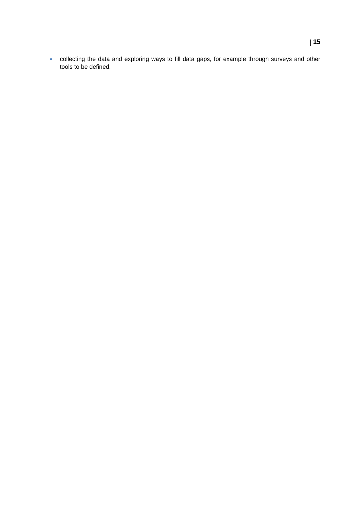• collecting the data and exploring ways to fill data gaps, for example through surveys and other tools to be defined.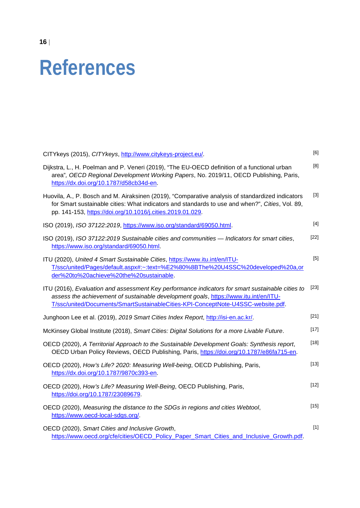## <span id="page-15-0"></span>**References**

| CITYkeys (2015), CITYkeys, http://www.citykeys-project.eu/.                                                                                                                                                                                                                  | [6]    |
|------------------------------------------------------------------------------------------------------------------------------------------------------------------------------------------------------------------------------------------------------------------------------|--------|
| Dijkstra, L., H. Poelman and P. Veneri (2019), "The EU-OECD definition of a functional urban<br>area", OECD Regional Development Working Papers, No. 2019/11, OECD Publishing, Paris,<br>https://dx.doi.org/10.1787/d58cb34d-en.                                             | [8]    |
| Huovila, A., P. Bosch and M. Airaksinen (2019), "Comparative analysis of standardized indicators<br>for Smart sustainable cities: What indicators and standards to use and when?", Cities, Vol. 89,<br>pp. 141-153, https://doi.org/10.1016/j.cities.2019.01.029.            | $[3]$  |
| ISO (2019), ISO 37122:2019, https://www.iso.org/standard/69050.html.                                                                                                                                                                                                         | $[4]$  |
| ISO (2019), ISO 37122:2019 Sustainable cities and communities - Indicators for smart cities,<br>https://www.iso.org/standard/69050.html.                                                                                                                                     | $[22]$ |
| ITU (2020), United 4 Smart Sustainable Cities, https://www.itu.int/en/ITU-<br>T/ssc/united/Pages/default.aspx#:~:text=%E2%80%8BThe%20U4SSC%20developed%20a,or<br>der%20to%20achieve%20the%20sustainable.                                                                     | $[5]$  |
| ITU (2016), Evaluation and assessment Key performance indicators for smart sustainable cities to<br>assess the achievement of sustainable development goals, https://www.itu.int/en/ITU-<br>T/ssc/united/Documents/SmartSustainableCities-KPI-ConceptNote-U4SSC-website.pdf. | $[23]$ |
| Junghoon Lee et al. (2019), 2019 Smart Cities Index Report, http://isi-en.ac.kr/.                                                                                                                                                                                            | $[21]$ |
| McKinsey Global Institute (2018), Smart Cities: Digital Solutions for a more Livable Future.                                                                                                                                                                                 | $[17]$ |
| OECD (2020), A Territorial Approach to the Sustainable Development Goals: Synthesis report,<br>OECD Urban Policy Reviews, OECD Publishing, Paris, https://doi.org/10.1787/e86fa715-en.                                                                                       | $[18]$ |
| OECD (2020), How's Life? 2020: Measuring Well-being, OECD Publishing, Paris,<br>https://dx.doi.org/10.1787/9870c393-en.                                                                                                                                                      | $[13]$ |
| OECD (2020), How's Life? Measuring Well-Being, OECD Publishing, Paris,<br>https://doi.org/10.1787/23089679.                                                                                                                                                                  | $[12]$ |
| OECD (2020), Measuring the distance to the SDGs in regions and cities Webtool,<br>https://www.oecd-local-sdgs.org/.                                                                                                                                                          | $[15]$ |
| OECD (2020), Smart Cities and Inclusive Growth,<br>https://www.oecd.org/cfe/cities/OECD_Policy_Paper_Smart_Cities_and_Inclusive_Growth.pdf.                                                                                                                                  | $[1]$  |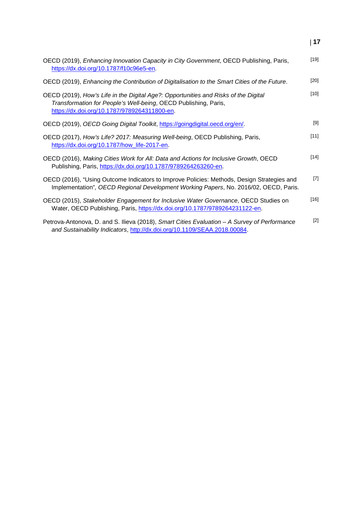| OECD (2019), Enhancing Innovation Capacity in City Government, OECD Publishing, Paris,<br>https://dx.doi.org/10.1787/f10c96e5-en.                                                                      | $[19]$ |
|--------------------------------------------------------------------------------------------------------------------------------------------------------------------------------------------------------|--------|
| OECD (2019), Enhancing the Contribution of Digitalisation to the Smart Cities of the Future.                                                                                                           | $[20]$ |
| OECD (2019), How's Life in the Digital Age?: Opportunities and Risks of the Digital<br>Transformation for People's Well-being, OECD Publishing, Paris,<br>https://dx.doi.org/10.1787/9789264311800-en. | $[10]$ |
| OECD (2019), OECD Going Digital Toolkit, https://goingdigital.oecd.org/en/.                                                                                                                            | $[9]$  |
| OECD (2017), How's Life? 2017: Measuring Well-being, OECD Publishing, Paris,<br>https://dx.doi.org/10.1787/how_life-2017-en.                                                                           | $[11]$ |
| OECD (2016), Making Cities Work for All: Data and Actions for Inclusive Growth, OECD<br>Publishing, Paris, https://dx.doi.org/10.1787/9789264263260-en.                                                | $[14]$ |
| OECD (2016), "Using Outcome Indicators to Improve Policies: Methods, Design Strategies and<br>Implementation", OECD Regional Development Working Papers, No. 2016/02, OECD, Paris.                     | $[7]$  |
| OECD (2015), Stakeholder Engagement for Inclusive Water Governance, OECD Studies on<br>Water, OECD Publishing, Paris, https://dx.doi.org/10.1787/9789264231122-en.                                     | $[16]$ |
| Petrova-Antonova, D. and S. Ilieva (2018), Smart Cities Evaluation - A Survey of Performance<br>and Sustainability Indicators, http://dx.doi.org/10.1109/SEAA.2018.00084.                              | $[2]$  |

| **17**